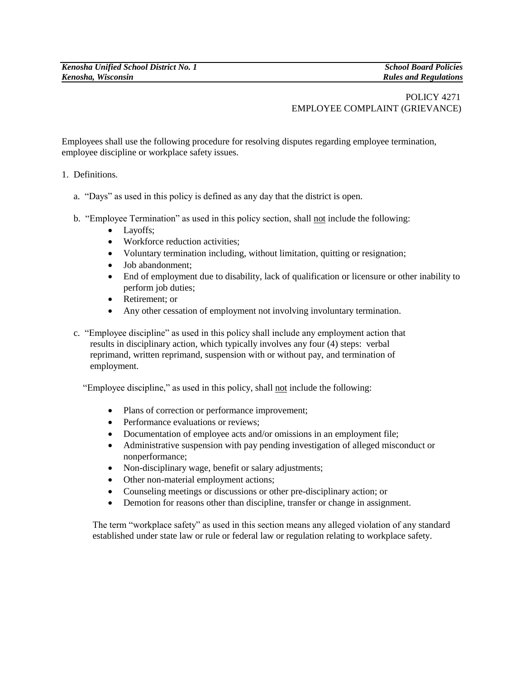## POLICY 4271 EMPLOYEE COMPLAINT (GRIEVANCE)

Employees shall use the following procedure for resolving disputes regarding employee termination, employee discipline or workplace safety issues.

- 1. Definitions.
	- a. "Days" as used in this policy is defined as any day that the district is open.
	- b. "Employee Termination" as used in this policy section, shall not include the following:
		- Layoffs;
		- Workforce reduction activities;
		- Voluntary termination including, without limitation, quitting or resignation;
		- Job abandonment;
		- End of employment due to disability, lack of qualification or licensure or other inability to perform job duties;
		- Retirement: or
		- Any other cessation of employment not involving involuntary termination.
	- c. "Employee discipline" as used in this policy shall include any employment action that results in disciplinary action, which typically involves any four (4) steps: verbal reprimand, written reprimand, suspension with or without pay, and termination of employment.

"Employee discipline," as used in this policy, shall not include the following:

- Plans of correction or performance improvement;
- Performance evaluations or reviews;
- Documentation of employee acts and/or omissions in an employment file;
- Administrative suspension with pay pending investigation of alleged misconduct or nonperformance;
- Non-disciplinary wage, benefit or salary adjustments;
- Other non-material employment actions;
- Counseling meetings or discussions or other pre-disciplinary action; or
- Demotion for reasons other than discipline, transfer or change in assignment.

The term "workplace safety" as used in this section means any alleged violation of any standard established under state law or rule or federal law or regulation relating to workplace safety.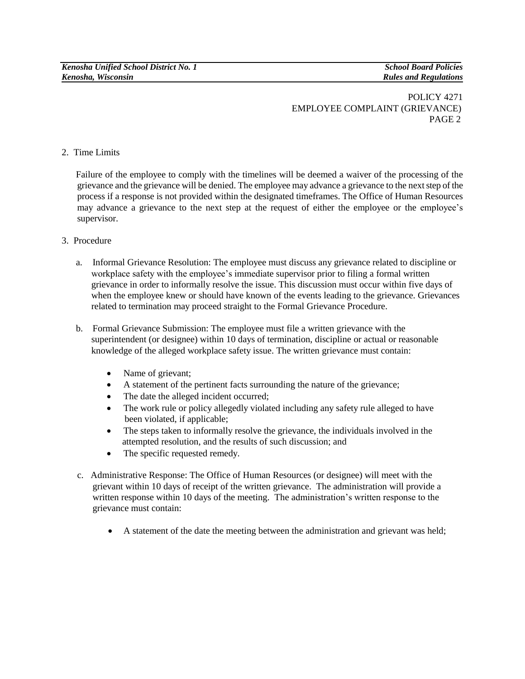## POLICY 4271 EMPLOYEE COMPLAINT (GRIEVANCE) PAGE 2

## 2. Time Limits

 Failure of the employee to comply with the timelines will be deemed a waiver of the processing of the grievance and the grievance will be denied. The employee may advance a grievance to the next step of the process if a response is not provided within the designated timeframes. The Office of Human Resources may advance a grievance to the next step at the request of either the employee or the employee's supervisor.

- 3. Procedure
	- a. Informal Grievance Resolution: The employee must discuss any grievance related to discipline or workplace safety with the employee's immediate supervisor prior to filing a formal written grievance in order to informally resolve the issue. This discussion must occur within five days of when the employee knew or should have known of the events leading to the grievance. Grievances related to termination may proceed straight to the Formal Grievance Procedure.
	- b. Formal Grievance Submission: The employee must file a written grievance with the superintendent (or designee) within 10 days of termination, discipline or actual or reasonable knowledge of the alleged workplace safety issue. The written grievance must contain:
		- Name of grievant;
		- A statement of the pertinent facts surrounding the nature of the grievance;
		- The date the alleged incident occurred;
		- The work rule or policy allegedly violated including any safety rule alleged to have been violated, if applicable;
		- The steps taken to informally resolve the grievance, the individuals involved in the attempted resolution, and the results of such discussion; and
		- The specific requested remedy.
	- c. Administrative Response: The Office of Human Resources (or designee) will meet with the grievant within 10 days of receipt of the written grievance. The administration will provide a written response within 10 days of the meeting. The administration's written response to the grievance must contain:
		- A statement of the date the meeting between the administration and grievant was held;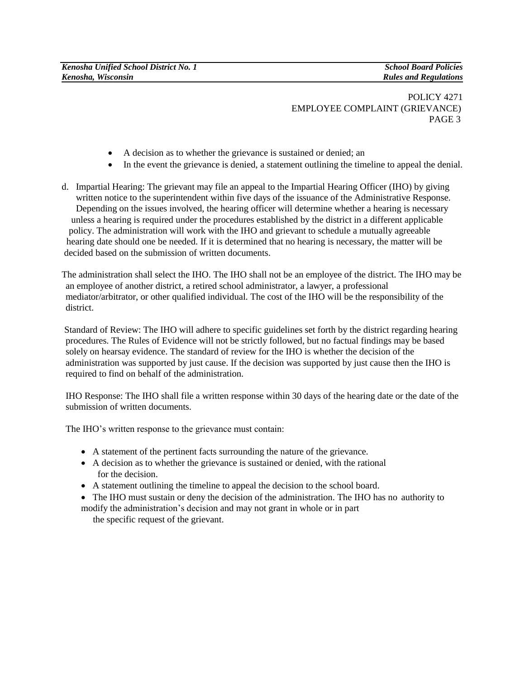POLICY 4271 EMPLOYEE COMPLAINT (GRIEVANCE) PAGE 3

- A decision as to whether the grievance is sustained or denied; an
- In the event the grievance is denied, a statement outlining the timeline to appeal the denial.
- d. Impartial Hearing: The grievant may file an appeal to the Impartial Hearing Officer (IHO) by giving written notice to the superintendent within five days of the issuance of the Administrative Response. Depending on the issues involved, the hearing officer will determine whether a hearing is necessary unless a hearing is required under the procedures established by the district in a different applicable policy. The administration will work with the IHO and grievant to schedule a mutually agreeable hearing date should one be needed. If it is determined that no hearing is necessary, the matter will be decided based on the submission of written documents.

The administration shall select the IHO. The IHO shall not be an employee of the district. The IHO may be an employee of another district, a retired school administrator, a lawyer, a professional mediator/arbitrator, or other qualified individual. The cost of the IHO will be the responsibility of the district.

 Standard of Review: The IHO will adhere to specific guidelines set forth by the district regarding hearing procedures. The Rules of Evidence will not be strictly followed, but no factual findings may be based solely on hearsay evidence. The standard of review for the IHO is whether the decision of the administration was supported by just cause. If the decision was supported by just cause then the IHO is required to find on behalf of the administration.

IHO Response: The IHO shall file a written response within 30 days of the hearing date or the date of the submission of written documents.

The IHO's written response to the grievance must contain:

- A statement of the pertinent facts surrounding the nature of the grievance.
- A decision as to whether the grievance is sustained or denied, with the rational for the decision.
- A statement outlining the timeline to appeal the decision to the school board.
- The IHO must sustain or deny the decision of the administration. The IHO has no authority to modify the administration's decision and may not grant in whole or in part

the specific request of the grievant.